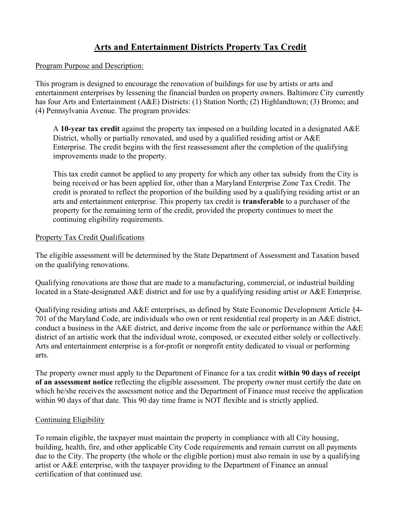# Arts and Entertainment Districts Property Tax Credit

#### Program Purpose and Description:

This program is designed to encourage the renovation of buildings for use by artists or arts and entertainment enterprises by lessening the financial burden on property owners. Baltimore City currently has four Arts and Entertainment (A&E) Districts: (1) Station North; (2) Highlandtown; (3) Bromo; and (4) Pennsylvania Avenue. The program provides:

A 10-year tax credit against the property tax imposed on a building located in a designated  $A \& E$ District, wholly or partially renovated, and used by a qualified residing artist or A&E Enterprise. The credit begins with the first reassessment after the completion of the qualifying improvements made to the property.

This tax credit cannot be applied to any property for which any other tax subsidy from the City is being received or has been applied for, other than a Maryland Enterprise Zone Tax Credit. The credit is prorated to reflect the proportion of the building used by a qualifying residing artist or an arts and entertainment enterprise. This property tax credit is transferable to a purchaser of the property for the remaining term of the credit, provided the property continues to meet the continuing eligibility requirements.

#### Property Tax Credit Qualifications

The eligible assessment will be determined by the State Department of Assessment and Taxation based on the qualifying renovations.

Qualifying renovations are those that are made to a manufacturing, commercial, or industrial building located in a State-designated A&E district and for use by a qualifying residing artist or A&E Enterprise.

Qualifying residing artists and A&E enterprises, as defined by State Economic Development Article §4- 701 of the Maryland Code, are individuals who own or rent residential real property in an A&E district, conduct a business in the A&E district, and derive income from the sale or performance within the A&E district of an artistic work that the individual wrote, composed, or executed either solely or collectively. Arts and entertainment enterprise is a for-profit or nonprofit entity dedicated to visual or performing arts.

The property owner must apply to the Department of Finance for a tax credit within 90 days of receipt of an assessment notice reflecting the eligible assessment. The property owner must certify the date on which he/she receives the assessment notice and the Department of Finance must receive the application within 90 days of that date. This 90 day time frame is NOT flexible and is strictly applied.

### Continuing Eligibility

To remain eligible, the taxpayer must maintain the property in compliance with all City housing, building, health, fire, and other applicable City Code requirements and remain current on all payments due to the City. The property (the whole or the eligible portion) must also remain in use by a qualifying artist or A&E enterprise, with the taxpayer providing to the Department of Finance an annual certification of that continued use.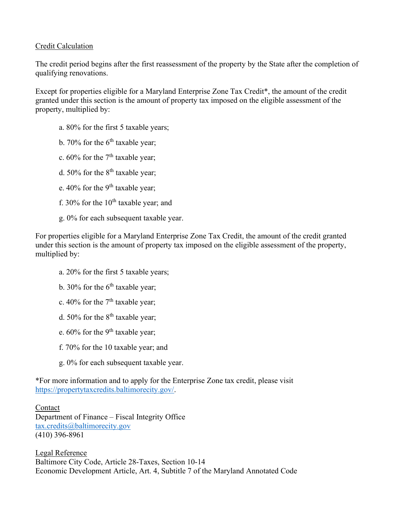#### Credit Calculation

The credit period begins after the first reassessment of the property by the State after the completion of qualifying renovations.

Except for properties eligible for a Maryland Enterprise Zone Tax Credit\*, the amount of the credit granted under this section is the amount of property tax imposed on the eligible assessment of the property, multiplied by:

- a. 80% for the first 5 taxable years;
- b. 70% for the  $6<sup>th</sup>$  taxable year;
- c.  $60\%$  for the  $7<sup>th</sup>$  taxable year;
- d. 50% for the  $8<sup>th</sup>$  taxable year;
- e.  $40\%$  for the 9<sup>th</sup> taxable year;
- f. 30% for the  $10^{th}$  taxable year; and
- g. 0% for each subsequent taxable year.

For properties eligible for a Maryland Enterprise Zone Tax Credit, the amount of the credit granted under this section is the amount of property tax imposed on the eligible assessment of the property, multiplied by:

- a. 20% for the first 5 taxable years;
- b. 30% for the  $6<sup>th</sup>$  taxable year;
- c. 40% for the  $7<sup>th</sup>$  taxable year;
- d. 50% for the  $8<sup>th</sup>$  taxable year;
- e. 60% for the 9<sup>th</sup> taxable year;
- f. 70% for the 10 taxable year; and
- g. 0% for each subsequent taxable year.

\*For more information and to apply for the Enterprise Zone tax credit, please visit https://propertytaxcredits.baltimorecity.gov/.

Contact Department of Finance – Fiscal Integrity Office tax.credits@baltimorecity.gov (410) 396-8961

Legal Reference Baltimore City Code, Article 28-Taxes, Section 10-14 Economic Development Article, Art. 4, Subtitle 7 of the Maryland Annotated Code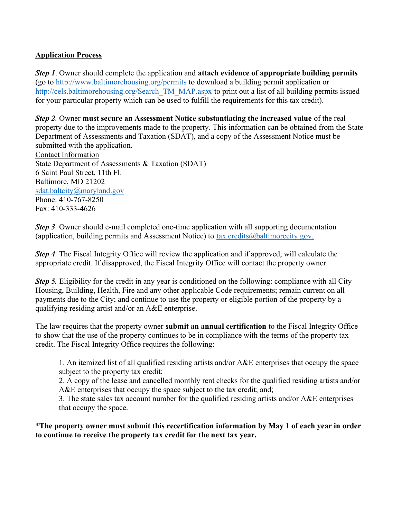### Application Process

Step 1. Owner should complete the application and attach evidence of appropriate building permits (go to http://www.baltimorehousing.org/permits to download a building permit application or http://cels.baltimorehousing.org/Search\_TM\_MAP.aspx to print out a list of all building permits issued for your particular property which can be used to fulfill the requirements for this tax credit).

Step 2. Owner must secure an Assessment Notice substantiating the increased value of the real property due to the improvements made to the property. This information can be obtained from the State Department of Assessments and Taxation (SDAT), and a copy of the Assessment Notice must be submitted with the application. Contact Information State Department of Assessments & Taxation (SDAT) 6 Saint Paul Street, 11th Fl. Baltimore, MD 21202 sdat.baltcity@maryland.gov

Phone: 410-767-8250 Fax: 410-333-4626

Step 3. Owner should e-mail completed one-time application with all supporting documentation (application, building permits and Assessment Notice) to tax.credits@baltimorecity.gov.

**Step 4.** The Fiscal Integrity Office will review the application and if approved, will calculate the appropriate credit. If disapproved, the Fiscal Integrity Office will contact the property owner.

Step 5. Eligibility for the credit in any year is conditioned on the following: compliance with all City Housing, Building, Health, Fire and any other applicable Code requirements; remain current on all payments due to the City; and continue to use the property or eligible portion of the property by a qualifying residing artist and/or an A&E enterprise.

The law requires that the property owner submit an annual certification to the Fiscal Integrity Office to show that the use of the property continues to be in compliance with the terms of the property tax credit. The Fiscal Integrity Office requires the following:

1. An itemized list of all qualified residing artists and/or A&E enterprises that occupy the space subject to the property tax credit;

2. A copy of the lease and cancelled monthly rent checks for the qualified residing artists and/or A&E enterprises that occupy the space subject to the tax credit; and;

3. The state sales tax account number for the qualified residing artists and/or A&E enterprises that occupy the space.

\*The property owner must submit this recertification information by May 1 of each year in order to continue to receive the property tax credit for the next tax year.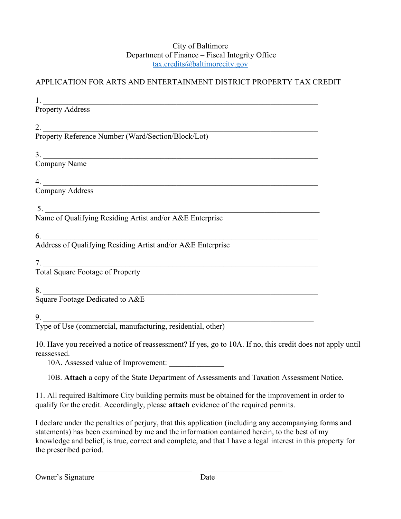#### City of Baltimore Department of Finance – Fiscal Integrity Office tax.credits@baltimorecity.gov

## APPLICATION FOR ARTS AND ENTERTAINMENT DISTRICT PROPERTY TAX CREDIT

1.  $\frac{1}{\sqrt{1-\frac{1}{2}}}\frac{1}{\sqrt{1-\frac{1}{2}}}\frac{1}{\sqrt{1-\frac{1}{2}}}\frac{1}{\sqrt{1-\frac{1}{2}}}\frac{1}{\sqrt{1-\frac{1}{2}}}\frac{1}{\sqrt{1-\frac{1}{2}}}\frac{1}{\sqrt{1-\frac{1}{2}}}\frac{1}{\sqrt{1-\frac{1}{2}}}\frac{1}{\sqrt{1-\frac{1}{2}}}\frac{1}{\sqrt{1-\frac{1}{2}}}\frac{1}{\sqrt{1-\frac{1}{2}}}\frac{1}{\sqrt{1-\frac{1}{2}}}\frac{1}{\sqrt{1-\frac{1}{2}}}\frac{1}{\sqrt{1$ 

Property Address

2.  $\Box$ Property Reference Number (Ward/Section/Block/Lot)

 $3.$ 

Company Name

 $4.$ 

Company Address

 $5.$ Name of Qualifying Residing Artist and/or A&E Enterprise

 $6.$ Address of Qualifying Residing Artist and/or A&E Enterprise

 $7.$ 

Total Square Footage of Property

 $8.$ 

Square Footage Dedicated to A&E

 $9.$ 

Type of Use (commercial, manufacturing, residential, other)

10. Have you received a notice of reassessment? If yes, go to 10A. If no, this credit does not apply until reassessed.

10A. Assessed value of Improvement:

10B. Attach a copy of the State Department of Assessments and Taxation Assessment Notice.

11. All required Baltimore City building permits must be obtained for the improvement in order to qualify for the credit. Accordingly, please attach evidence of the required permits.

I declare under the penalties of perjury, that this application (including any accompanying forms and statements) has been examined by me and the information contained herein, to the best of my knowledge and belief, is true, correct and complete, and that I have a legal interest in this property for the prescribed period.

 $\mathcal{L}_\text{max}$  , and the contribution of the contribution of the contribution of the contribution of the contribution of the contribution of the contribution of the contribution of the contribution of the contribution of t